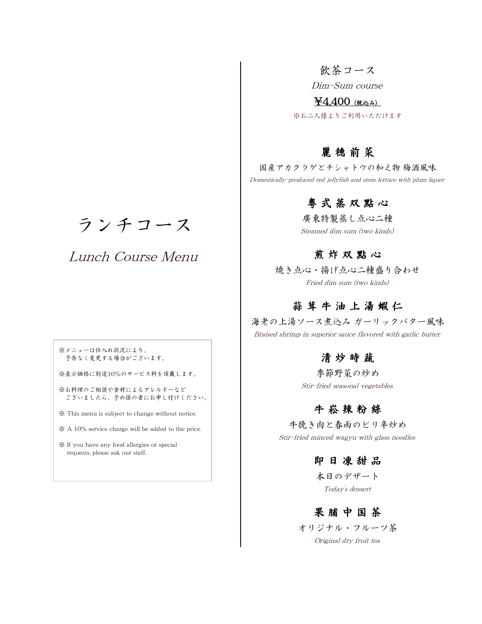飲茶コース

Dim-Sum course

 $44,400$  (税込ん)

※お二人様よりご利用いただけます

# 麗 穂 前 菜

国産アカクラゲとチシャトウの和え物 梅酒風味 Domestically-produced red jellyfish and stem lettuce with plum liquer

### 粤 式 蒸 双 點 心

廣東特製蒸し点心二種 Steamed dim sum (two kinds)

### 煎 炸 双 點 心

焼き点心・揚げ点心二種盛り合わせ Fried dim sum (two kinds)

# 蒜 茸 牛 油 上 湯 蝦 仁

海老の上湯ソース煮込み ガーリックバター風味 Braised shrimp in superior sauce flavored with garlic butter

# 清 炒 時 蔬

季節野菜の炒め Stir-fried seasonal vegetables

# 牛 崧 辣 粉 絲

Stir-fried minced wagyu with glass noodles 牛挽き肉と春雨のピリ辛炒め

即 日 凍 甜 品

Today's dessert 本日のデザート

### 果 脯 中 国 茶

Original dry fruit tea オリジナル・フルーツ茶

# ランチコース

Lunch Course Menu

※メニューは仕入れ状況により、 予告なく変更する場合がございます。

※表示価格に別途10%のサービス料を頂戴します。

※お料理のご相談や食材によるアレルギーなど ございましたら、予め係の者にお申し付けください。

※ This menu is subject to change without notice.

※ A 10% service charge will be added to the price.

※ If you have any food allergies or special requests, please ask our staff.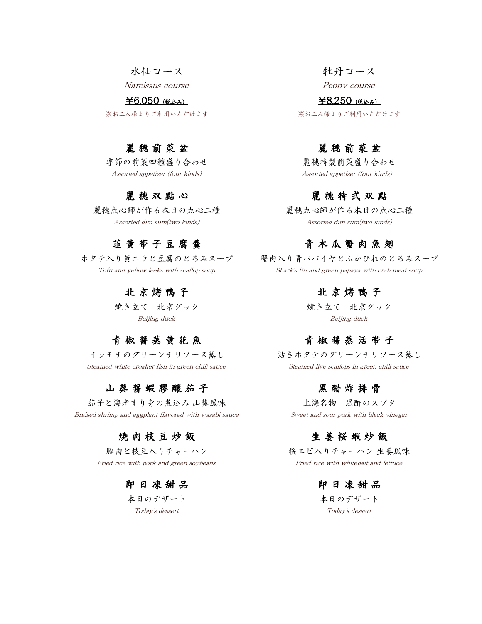水仙コース 牡丹コース

※お二人様よりご利用いただけます インディスク マンジャン しゅうこん様よりご利用いただけます  $\text{\yen}6,050$  (税込み)  $\text{\yen}8.250$  (税込み)

# 麗 穂 前 菜 盆 は ま ま ま ま ま ま ま 違 様 前 菜 盆

季節の前菜四種盛り合わせ | 麗穂特製前菜盛り合わせ Assorted appetizer (four kinds) Assorted appetizer (four kinds)

#### 麗 穂 双 點 心

Assorted dim sum(two kinds) 麗穂点心師が作る本日の点心二種

# 韮 黄 帯 子 豆 腐 羹

ホタテ入り黄ニラと豆腐のとろみスープ Tofu and yellow leeks with scallop soup

# 北 京 烤 鴨 子

Steamed white croaker fish in green chili sauce

#### 山 葵 醤 蝦 膠 醸 茄 子

Braised shrimp and eggplant flavored with wasabi sauce Sweet and sour pork with black vinegar 茄子と海老すり身の煮込み 山葵風味 しゅうしゃ しゅん 黒酢のスブタ

#### 焼 肉 枝 豆 炒 飯

Fried rice with pork and green soybeans Fried rice with whitebait and lettuce

#### 即 日 凍 甜 品 四 日 山 同 日 凍 甜 品

Today's dessert

Narcissus course  $P_{\text{e} \text{ony} }$  course

#### 麗 穂 特 式 双 點

Assorted dim sum(two kinds) 麗穂点心師が作る本日の点心二種

# 青木瓜蟹肉魚翅

Shark's fin and green papaya with crab meat soup 蟹肉入り青パパイヤとふかひれのとろみスープ

#### 北 京 烤 鴨 子

焼き立て 北京ダック インディング おんじょう おんきょく 北京ダック Beijing duck Beijing duck

# 青 椒 醤 蒸 黄 花 魚 【 \_ \_ \_ 青 椒 醤 蒸 活 带 子

イシモチのグリーンチリソース蒸し ― 活きホタテのグリーンチリソース蒸し Steamed live scallops in green chili sauce

#### 黒 醋 炸 排 骨

# 生 姜 桜 蝦 炒 飯

豚肉と枝豆入りチャーハン ノイン プレンジ およい おおし 桜エビ入りチャーハン 生姜風味

本日のデザート よりのデザート

Today's dessert